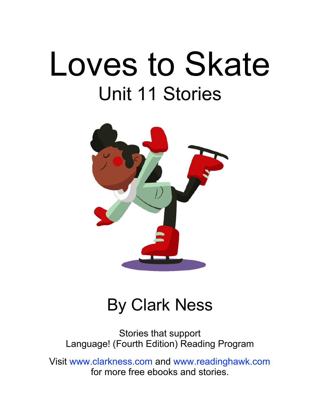# Loves to Skate Unit 11 Stories



### By Clark Ness

Stories that support Language! (Fourth Edition) Reading Program

Visit [www.clarkness.com](http://www.clarkness.com) and [www.readinghawk.com](http://www.readinghawk.com) for more free ebooks and stories.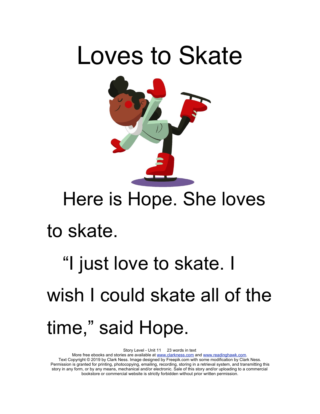

### Here is Hope. She loves

#### to skate.

## "I just love to skate. I wish I could skate all of the time," said Hope.

Story Level - Unit 11 23 words in text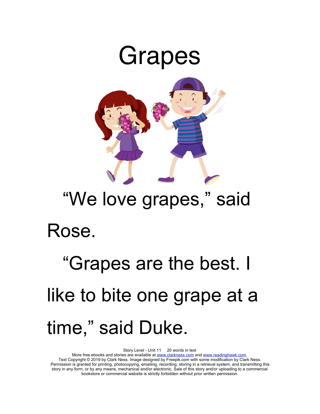

### "We love grapes," said

### Rose.

## "Grapes are the best. I like to bite one grape at a time," said Duke.

Story Level - Unit 11 20 words in text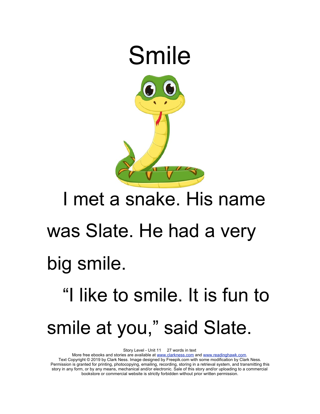

### I met a snake. His name

### was Slate. He had a very

#### big smile.

## "I like to smile. It is fun to smile at you," said Slate.

Story Level - Unit 11 27 words in text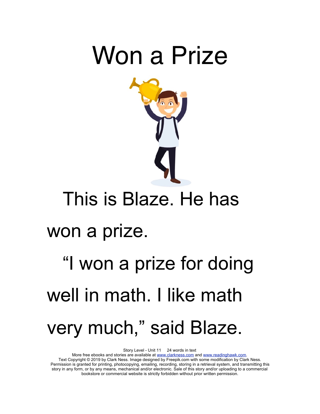



### This is Blaze. He has

### won a prize.

## "I won a prize for doing well in math. I like math very much," said Blaze.

Story Level - Unit 11 24 words in text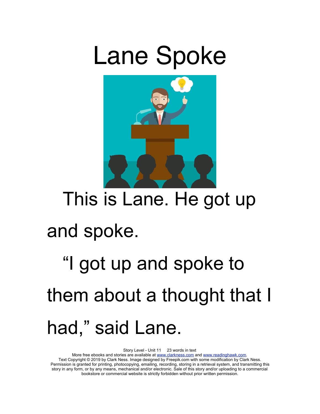## Lane Spoke



### This is Lane. He got up

### and spoke.

## "I got up and spoke to them about a thought that I had," said Lane.

Story Level - Unit 11 23 words in text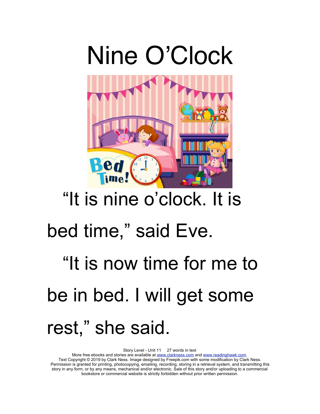

### "It is nine o'clock. It is

### bed time," said Eve.

## "It is now time for me to be in bed. I will get some rest," she said.

Story Level - Unit 11 27 words in text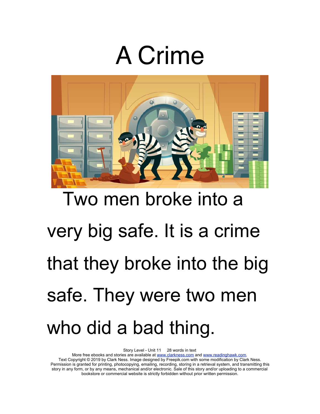## A Crime



# Two men broke into a very big safe. It is a crime that they broke into the big safe. They were two men who did a bad thing.

Story Level - Unit 11 28 words in text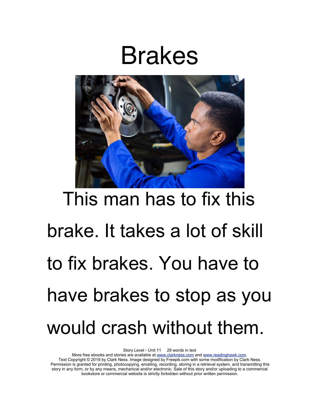### Brakes



# This man has to fix this brake. It takes a lot of skill to fix brakes. You have to have brakes to stop as you would crash without them.

Story Level - Unit 11 29 words in text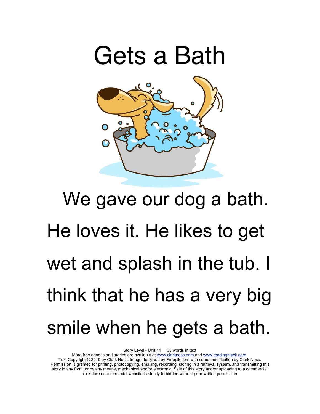

# We gave our dog a bath. He loves it. He likes to get wet and splash in the tub. I think that he has a very big smile when he gets a bath.

Story Level - Unit 11 33 words in text